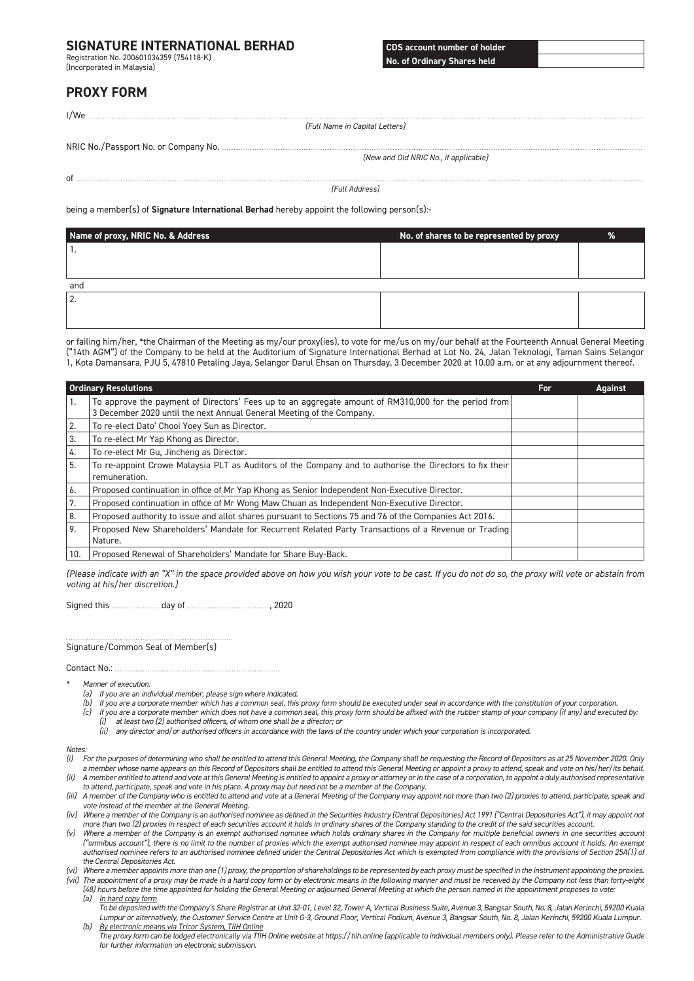## **SIGNATURE INTERNATIONAL BERHAD**

Registration No. 200601034359 (754118-K) (Incorporated in Malaysia)

**CDS account number of holder No. of Ordinary Shares held**

# **PROXY FORM**

|                                                                                                     | (Full Name in Capital Letters)        |
|-----------------------------------------------------------------------------------------------------|---------------------------------------|
|                                                                                                     |                                       |
|                                                                                                     |                                       |
|                                                                                                     | (New and Old NRIC No., if applicable) |
|                                                                                                     |                                       |
|                                                                                                     |                                       |
|                                                                                                     | (Full Address)                        |
|                                                                                                     |                                       |
| being a member(s) of <b>Signature International Berhad</b> hereby appoint the following person(s):- |                                       |

**Name of proxy, NRIC No. & Address No. of shares to be represented by proxy %** 1. and 2.

or failing him/her, \*the Chairman of the Meeting as my/our proxy(ies), to vote for me/us on my/our behalf at the Fourteenth Annual General Meeting ("14th AGM") of the Company to be held at the Auditorium of Signature International Berhad at Lot No. 24, Jalan Teknologi, Taman Sains Selangor 1, Kota Damansara, PJU 5, 47810 Petaling Jaya, Selangor Darul Ehsan on Thursday, 3 December 2020 at 10.00 a.m. or at any adjournment thereof.

| <b>Ordinary Resolutions</b> |                                                                                                                                                                               | For | <b>Against</b> |
|-----------------------------|-------------------------------------------------------------------------------------------------------------------------------------------------------------------------------|-----|----------------|
| ъ.                          | To approve the payment of Directors' Fees up to an aggregate amount of RM310,000 for the period from<br>3 December 2020 until the next Annual General Meeting of the Company. |     |                |
| l 2.                        | To re-elect Dato' Chooi Yoey Sun as Director.                                                                                                                                 |     |                |
| 3.                          | To re-elect Mr Yap Khong as Director.                                                                                                                                         |     |                |
| 4.                          | To re-elect Mr Gu, Jincheng as Director.                                                                                                                                      |     |                |
| 5.                          | To re-appoint Crowe Malaysia PLT as Auditors of the Company and to authorise the Directors to fix their<br>remuneration.                                                      |     |                |
| 6.                          | Proposed continuation in office of Mr Yap Khong as Senior Independent Non-Executive Director.                                                                                 |     |                |
| 7.                          | Proposed continuation in office of Mr Wong Maw Chuan as Independent Non-Executive Director.                                                                                   |     |                |
| 8.                          | Proposed authority to issue and allot shares pursuant to Sections 75 and 76 of the Companies Act 2016.                                                                        |     |                |
| 9.                          | Proposed New Shareholders' Mandate for Recurrent Related Party Transactions of a Revenue or Trading<br>Nature.                                                                |     |                |
| 10.                         | Proposed Renewal of Shareholders' Mandate for Share Buy-Back.                                                                                                                 |     |                |

*(Please indicate with an "X" in the space provided above on how you wish your vote to be cast. If you do not do so, the proxy will vote or abstain from voting at his/her discretion.)*

Signed this day of , 2020

Signature/Common Seal of Member(s)

Contact No.:

- *\* Manner of execution:*
	- *(a) If you are an individual member, please sign where indicated.*
	- *(b) If you are a corporate member which has a common seal, this proxy form should be executed under seal in accordance with the constitution of your corporation.*
	- *(c) If you are a corporate member which does not have a common seal, this proxy form should be affixed with the rubber stamp of your company (if any) and executed by: (i) at least two (2) authorised officers, of whom one shall be a director; or*
		- *(ii) any director and/or authorised officers in accordance with the laws of the country under which your corporation is incorporated.*

#### *Notes:*

- *(i) For the purposes of determining who shall be entitled to attend this General Meeting, the Company shall be requesting the Record of Depositors as at 25 November 2020. Only a member whose name appears on this Record of Depositors shall be entitled to attend this General Meeting or appoint a proxy to attend, speak and vote on his/her/its behalf. (ii) A member entitled to attend and vote at this General Meeting is entitled to appoint a proxy or attorney or in the case of a corporation, to appoint a duly authorised representative*
- *to attend, participate, speak and vote in his place. A proxy may but need not be a member of the Company. (iii) A member of the Company who is entitled to attend and vote at a General Meeting of the Company may appoint not more than two (2) proxies to attend, participate, speak and*
- *vote instead of the member at the General Meeting. (iv) Where a member of the Company is an authorised nominee as defined in the Securities Industry (Central Depositories) Act 1991 ("Central Depositories Act"), it may appoint not*
- *more than two (2) proxies in respect of each securities account it holds in ordinary shares of the Company standing to the credit of the said securities account.*
- *(v) Where a member of the Company is an exempt authorised nominee which holds ordinary shares in the Company for multiple beneficial owners in one securities account*  ("omnibus account"), there is no limit to the number of proxies which the exempt authorised nominee may appoint in respect of each omnibus account it holds. An exempt authorised nominee refers to an authorised nominee defined under the Central Depositories Act which is exempted from compliance with the provisions of Section 25A(1) of *the Central Depositories Act.*
- *(vi) Where a member appoints more than one (1) proxy, the proportion of shareholdings to be represented by each proxy must be specified in the instrument appointing the proxies.*

*(vii) The appointment of a proxy may be made in a hard copy form or by electronic means in the following manner and must be received by the Company not less than forty-eight (48) hours before the time appointed for holding the General Meeting or adjourned General Meeting at which the person named in the appointment proposes to vote: (a) In hard copy form*

*To be deposited with the Company's Share Registrar at Unit 32-01, Level 32, Tower A, Vertical Business Suite, Avenue 3, Bangsar South, No. 8, Jalan Kerinchi, 59200 Kuala Lumpur or alternatively, the Customer Service Centre at Unit G-3, Ground Floor, Vertical Podium, Avenue 3, Bangsar South, No. 8, Jalan Kerinchi, 59200 Kuala Lumpur. (b) By electronic means via Tricor System, TIIH Online*

*The proxy form can be lodged electronically via TIIH Online website at https://tiih.online (applicable to individual members only). Please refer to the Administrative Guide for further information on electronic submission.*